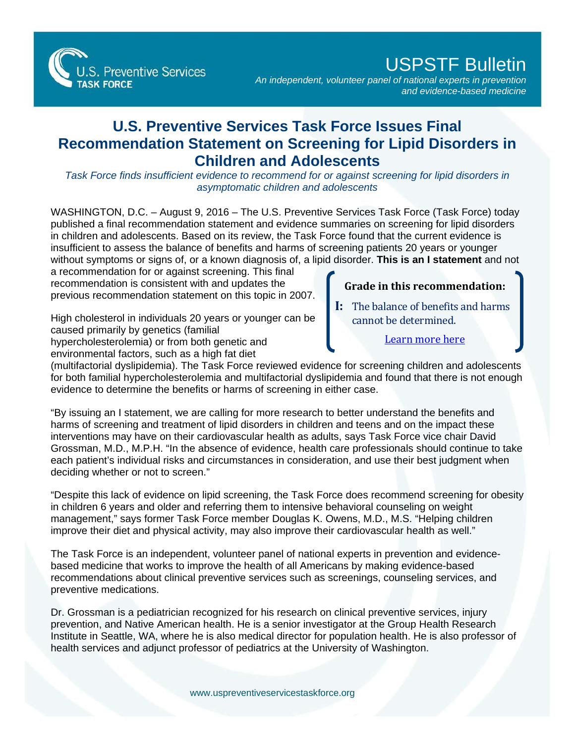

## USPSTF Bulletin

*An independent, volunteer panel of national experts in prevention and evidence-based medicine*

## **U.S. Preventive Services Task Force Issues Final Recommendation Statement on Screening for Lipid Disorders in Children and Adolescents**

*Task Force finds insufficient evidence to recommend for or against screening for lipid disorders in asymptomatic children and adolescents*

WASHINGTON, D.C. – August 9, 2016 – The U.S. Preventive Services Task Force (Task Force) today published a final recommendation statement and evidence summaries on screening for lipid disorders in children and adolescents. Based on its review, the Task Force found that the current evidence is insufficient to assess the balance of benefits and harms of screening patients 20 years or younger without symptoms or signs of, or a known diagnosis of, a lipid disorder. **This is an I statement** and not

a recommendation for or against screening. This final recommendation is consistent with and updates the previous recommendation statement on this topic in 2007.

High cholesterol in individuals 20 years or younger can be caused primarily by genetics (familial hypercholesterolemia) or from both genetic and environmental factors, such as a high fat diet

## **Grade in this recommendation:**

**I:** The balance of benefits and harms cannot be determined.

[Learn more here](http://www.uspreventiveservicestaskforce.org/Page/Name/grade-definitions)

(multifactorial dyslipidemia). The Task Force reviewed evidence for screening children and adolescents for both familial hypercholesterolemia and multifactorial dyslipidemia and found that there is not enough evidence to determine the benefits or harms of screening in either case.

"By issuing an I statement, we are calling for more research to better understand the benefits and harms of screening and treatment of lipid disorders in children and teens and on the impact these interventions may have on their cardiovascular health as adults, says Task Force vice chair David Grossman, M.D., M.P.H. "In the absence of evidence, health care professionals should continue to take each patient's individual risks and circumstances in consideration, and use their best judgment when deciding whether or not to screen."

"Despite this lack of evidence on lipid screening, the Task Force does recommend screening for obesity in children 6 years and older and referring them to intensive behavioral counseling on weight management," says former Task Force member Douglas K. Owens, M.D., M.S. "Helping children improve their diet and physical activity, may also improve their cardiovascular health as well."

The Task Force is an independent, volunteer panel of national experts in prevention and evidencebased medicine that works to improve the health of all Americans by making evidence-based recommendations about clinical preventive services such as screenings, counseling services, and preventive medications.

Dr. Grossman is a pediatrician recognized for his research on clinical preventive services, injury prevention, and Native American health. He is a senior investigator at the Group Health Research Institute in Seattle, WA, where he is also medical director for population health. He is also professor of health services and adjunct professor of pediatrics at the University of Washington.

[www.uspreventiveservicestaskforce.org](http://www.uspreventiveservicestaskforce.org/)